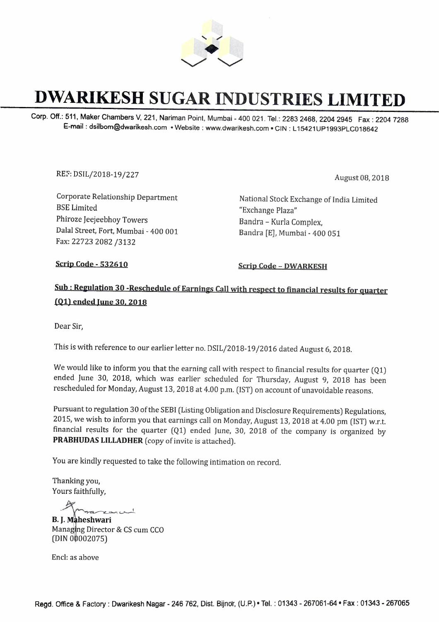

## **DWARIKESH SUGAR INDUSTRIES LIMITED**

Corp. Off.: 511, Maker Chambers V, 221, Nariman Point, Mumbai - 400 021. Tel.: 2283 2468, 2204 2945 Fax: 2204 7288 E-mail : dsilbom@dwarikesh.com • Website : www.dwarikesh.com • GIN : L 15421UP1993PLC018642

REF: DSIL/2018-19/227 August 08, 2018

Corporate Relationship Department BSE Limited Phiroze Jeejeebhoy Towers Dalal Street, Fort, Mumbai - 400 001 Fax: 22723 2082 /3132

National Stock Exchange of India Limited "Exchange Plaza" Bandra - Kurla Complex, Bandra [E], Mumbai - 400 051

**Scrip Code - 532610** Scrip Code - DWARKESH

## **Sub; Regulation 30 -Reschedule of Earnings Call with respect to financial results for quarter (Q1) ended June 30, 2018**

Dear Sir,

This is with reference to our earlier letter no. DSIL/2018-19/2016 dated August 6, 2018.

We would like to inform you that the earning call with respect to financial results for quarter  $(Q1)$ ended June 30, 2018, which was earlier scheduled for Thursday, August 9, 2018 has been rescheduled for Monday, August 13, 2018 at 4.00 p.m. (1ST) on account of unavoidable reasons.

Pursuant to regulation 30 of the SEBI (Listing Obligation and Disclosure Requirements) Regulations, 2015, we wish to inform you that earnings call on Monday, August 13, 2018 at 4.00 pm (1ST) w.r.t. financial results for the quarter (Ql) ended June, 30, 2018 of the company is organized by PRABHUDAS LILLADHER (copy of invite is attached).

You are kindly requested to take the following intimation on record.

Thanking you, Yours faithfully,

اسين سدح

**B. J. Maheshwari** Managing Director & CS cum CCO  $(DIN 00002075)$ 

Encl: as above